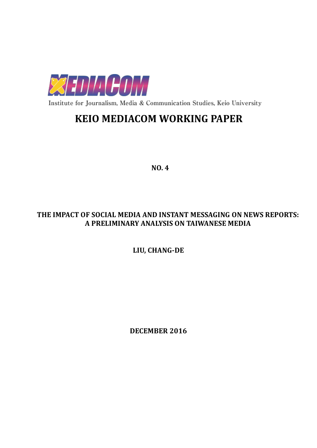

Institute for Journalism, Media & Communication Studies, Keio University

# **KEIO MEDIACOM WORKING PAPER**

**NO. 4**

# **THE IMPACT OF SOCIAL MEDIA AND INSTANT MESSAGING ON NEWS REPORTS: A PRELIMINARY ANALYSIS ON TAIWANESE MEDIA**

**LIU, CHANG-DE**

**DECEMBER 2016**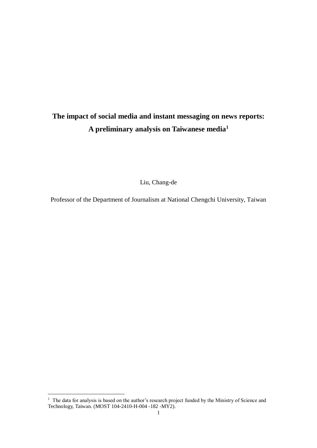# **The impact of social media and instant messaging on news reports: A preliminary analysis on Taiwanese media<sup>1</sup>**

Liu, Chang-de

Professor of the Department of Journalism at National Chengchi University, Taiwan

<u>.</u>

 $1$  The data for analysis is based on the author's research project funded by the Ministry of Science and Technology, Taiwan. (MOST 104-2410-H-004 -182 -MY2).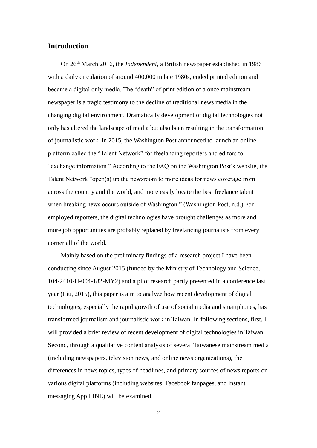# **Introduction**

On 26th March 2016, the *Independent*, a British newspaper established in 1986 with a daily circulation of around 400,000 in late 1980s, ended printed edition and became a digital only media. The "death" of print edition of a once mainstream newspaper is a tragic testimony to the decline of traditional news media in the changing digital environment. Dramatically development of digital technologies not only has altered the landscape of media but also been resulting in the transformation of journalistic work. In 2015, the Washington Post announced to launch an online platform called the "Talent Network" for freelancing reporters and editors to "exchange information." According to the FAQ on the Washington Post's website, the Talent Network "open(s) up the newsroom to more ideas for news coverage from across the country and the world, and more easily locate the best freelance talent when breaking news occurs outside of Washington." (Washington Post, n.d.) For employed reporters, the digital technologies have brought challenges as more and more job opportunities are probably replaced by freelancing journalists from every corner all of the world.

Mainly based on the preliminary findings of a research project I have been conducting since August 2015 (funded by the Ministry of Technology and Science, 104-2410-H-004-182-MY2) and a pilot research partly presented in a conference last year (Liu, 2015), this paper is aim to analyze how recent development of digital technologies, especially the rapid growth of use of social media and smartphones, has transformed journalism and journalistic work in Taiwan. In following sections, first, I will provided a brief review of recent development of digital technologies in Taiwan. Second, through a qualitative content analysis of several Taiwanese mainstream media (including newspapers, television news, and online news organizations), the differences in news topics, types of headlines, and primary sources of news reports on various digital platforms (including websites, Facebook fanpages, and instant messaging App LINE) will be examined.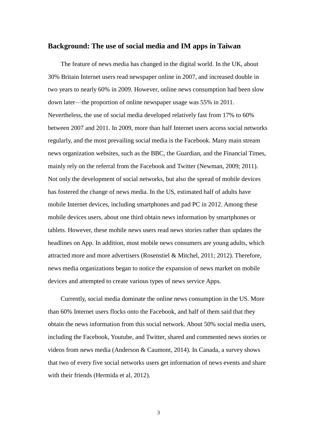#### **Background: The use of social media and IM apps in Taiwan**

The feature of news media has changed in the digital world. In the UK, about 30% Britain Internet users read newspaper online in 2007, and increased double in two years to nearly 60% in 2009. However, online news consumption had been slow down later—the proportion of online newspaper usage was 55% in 2011. Nevertheless, the use of social media developed relatively fast from 17% to 60% between 2007 and 2011. In 2009, more than half Internet users access social networks regularly, and the most prevailing social media is the Facebook. Many main stream news organization websites, such as the BBC, the Guardian, and the Financial Times, mainly rely on the referral from the Facebook and Twitter (Newman, 2009; 2011). Not only the development of social networks, but also the spread of mobile devices has fostered the change of news media. In the US, estimated half of adults have mobile Internet devices, including smartphones and pad PC in 2012. Among these mobile devices users, about one third obtain news information by smartphones or tablets. However, these mobile news users read news stories rather than updates the headlines on App. In addition, most mobile news consumers are young adults, which attracted more and more advertisers (Rosenstiel & Mitchel, 2011; 2012). Therefore, news media organizations began to notice the expansion of news market on mobile devices and attempted to create various types of news service Apps.

Currently, social media dominate the online news consumption in the US. More than 60% Internet users flocks onto the Facebook, and half of them said that they obtain the news information from this social network. About 50% social media users, including the Facebook, Youtube, and Twitter, shared and commented news stories or videos from news media (Anderson & Caumont, 2014). In Canada, a survey shows that two of every five social networks users get information of news events and share with their friends (Hermida et al, 2012).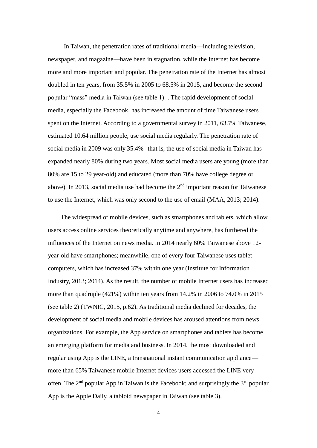In Taiwan, the penetration rates of traditional media—including television, newspaper, and magazine—have been in stagnation, while the Internet has become more and more important and popular. The penetration rate of the Internet has almost doubled in ten years, from 35.5% in 2005 to 68.5% in 2015, and become the second popular "mass" media in Taiwan (see table 1). . The rapid development of social media, especially the Facebook, has increased the amount of time Taiwanese users spent on the Internet. According to a governmental survey in 2011, 63.7% Taiwanese, estimated 10.64 million people, use social media regularly. The penetration rate of social media in 2009 was only 35.4%--that is, the use of social media in Taiwan has expanded nearly 80% during two years. Most social media users are young (more than 80% are 15 to 29 year-old) and educated (more than 70% have college degree or above). In 2013, social media use had become the  $2<sup>nd</sup>$  important reason for Taiwanese to use the Internet, which was only second to the use of email (MAA, 2013; 2014).

The widespread of mobile devices, such as smartphones and tablets, which allow users access online services theoretically anytime and anywhere, has furthered the influences of the Internet on news media. In 2014 nearly 60% Taiwanese above 12 year-old have smartphones; meanwhile, one of every four Taiwanese uses tablet computers, which has increased 37% within one year (Institute for Information Industry, 2013; 2014). As the result, the number of mobile Internet users has increased more than quadruple (421%) within ten years from 14.2% in 2006 to 74.0% in 2015 (see table 2) (TWNIC, 2015, p.62). As traditional media declined for decades, the development of social media and mobile devices has aroused attentions from news organizations. For example, the App service on smartphones and tablets has become an emerging platform for media and business. In 2014, the most downloaded and regular using App is the LINE, a transnational instant communication appliance more than 65% Taiwanese mobile Internet devices users accessed the LINE very often. The  $2<sup>nd</sup>$  popular App in Taiwan is the Facebook; and surprisingly the  $3<sup>rd</sup>$  popular App is the Apple Daily, a tabloid newspaper in Taiwan (see table 3).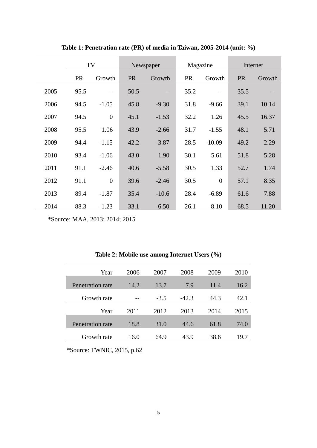|      | TV        |                | Newspaper |                   | Magazine  |                | Internet  |                   |
|------|-----------|----------------|-----------|-------------------|-----------|----------------|-----------|-------------------|
|      | <b>PR</b> | Growth         | <b>PR</b> | Growth            | <b>PR</b> | Growth         | <b>PR</b> | Growth            |
| 2005 | 95.5      | $-$            | 50.5      | $\qquad \qquad -$ | 35.2      | $- -$          | 35.5      | $\qquad \qquad -$ |
| 2006 | 94.5      | $-1.05$        | 45.8      | $-9.30$           | 31.8      | $-9.66$        | 39.1      | 10.14             |
| 2007 | 94.5      | $\overline{0}$ | 45.1      | $-1.53$           | 32.2      | 1.26           | 45.5      | 16.37             |
| 2008 | 95.5      | 1.06           | 43.9      | $-2.66$           | 31.7      | $-1.55$        | 48.1      | 5.71              |
| 2009 | 94.4      | $-1.15$        | 42.2      | $-3.87$           | 28.5      | $-10.09$       | 49.2      | 2.29              |
| 2010 | 93.4      | $-1.06$        | 43.0      | 1.90              | 30.1      | 5.61           | 51.8      | 5.28              |
| 2011 | 91.1      | $-2.46$        | 40.6      | $-5.58$           | 30.5      | 1.33           | 52.7      | 1.74              |
| 2012 | 91.1      | $\overline{0}$ | 39.6      | $-2.46$           | 30.5      | $\overline{0}$ | 57.1      | 8.35              |
| 2013 | 89.4      | $-1.87$        | 35.4      | $-10.6$           | 28.4      | $-6.89$        | 61.6      | 7.88              |
| 2014 | 88.3      | $-1.23$        | 33.1      | $-6.50$           | 26.1      | $-8.10$        | 68.5      | 11.20             |

**Table 1: Penetration rate (PR) of media in Taiwan, 2005-2014 (unit: %)**

\*Source: MAA, 2013; 2014; 2015

|  |  | Table 2: Mobile use among Internet Users (%) |  |
|--|--|----------------------------------------------|--|
|--|--|----------------------------------------------|--|

| Year             | 2006 | 2007   | 2008    | 2009 | 2010 |
|------------------|------|--------|---------|------|------|
|                  |      |        |         |      |      |
| Penetration rate | 14.2 | 13.7   | 7.9     | 11.4 | 16.2 |
|                  |      |        |         |      |      |
| Growth rate      |      | $-3.5$ | $-42.3$ | 44.3 | 42.1 |
|                  |      |        |         |      |      |
| Year             | 2011 | 2012   | 2013    | 2014 | 2015 |
|                  |      |        |         |      |      |
| Penetration rate | 18.8 | 31.0   | 44.6    | 61.8 | 74.0 |
| Growth rate      | 16.0 | 64.9   | 43.9    | 38.6 | 19.7 |
|                  |      |        |         |      |      |

\*Source: TWNIC, 2015, p.62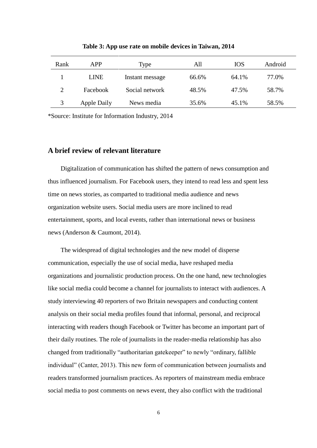| Rank | APP         | Type            | All   | <b>IOS</b> | Android |
|------|-------------|-----------------|-------|------------|---------|
|      | <b>LINE</b> | Instant message | 66.6% | 64.1%      | 77.0%   |
|      | Facebook    | Social network  | 48.5% | 47.5%      | 58.7%   |
|      | Apple Daily | News media      | 35.6% | 45.1%      | 58.5%   |

**Table 3: App use rate on mobile devices in Taiwan, 2014**

\*Source: Institute for Information Industry, 2014

# **A brief review of relevant literature**

Digitalization of communication has shifted the pattern of news consumption and thus influenced journalism. For Facebook users, they intend to read less and spent less time on news stories, as comparted to traditional media audience and news organization website users. Social media users are more inclined to read entertainment, sports, and local events, rather than international news or business news (Anderson & Caumont, 2014).

The widespread of digital technologies and the new model of disperse communication, especially the use of social media, have reshaped media organizations and journalistic production process. On the one hand, new technologies like social media could become a channel for journalists to interact with audiences. A study interviewing 40 reporters of two Britain newspapers and conducting content analysis on their social media profiles found that informal, personal, and reciprocal interacting with readers though Facebook or Twitter has become an important part of their daily routines. The role of journalists in the reader-media relationship has also changed from traditionally "authoritarian gatekeeper" to newly "ordinary, fallible individual" (Canter, 2013). This new form of communication between journalists and readers transformed journalism practices. As reporters of mainstream media embrace social media to post comments on news event, they also conflict with the traditional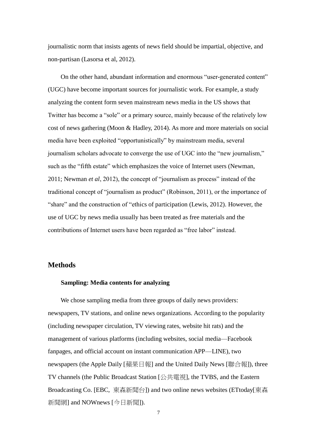journalistic norm that insists agents of news field should be impartial, objective, and non-partisan (Lasorsa et al, 2012).

On the other hand, abundant information and enormous "user-generated content" (UGC) have become important sources for journalistic work. For example, a study analyzing the content form seven mainstream news media in the US shows that Twitter has become a "sole" or a primary source, mainly because of the relatively low cost of news gathering (Moon & Hadley, 2014). As more and more materials on social media have been exploited "opportunistically" by mainstream media, several journalism scholars advocate to converge the use of UGC into the "new journalism," such as the "fifth estate" which emphasizes the voice of Internet users (Newman, 2011; Newman *et al*, 2012), the concept of "journalism as process" instead of the traditional concept of "journalism as product" (Robinson, 2011), or the importance of "share" and the construction of "ethics of participation (Lewis, 2012). However, the use of UGC by news media usually has been treated as free materials and the contributions of Internet users have been regarded as "free labor" instead.

# **Methods**

#### **Sampling: Media contents for analyzing**

We chose sampling media from three groups of daily news providers: newspapers, TV stations, and online news organizations. According to the popularity (including newspaper circulation, TV viewing rates, website hit rats) and the management of various platforms (including websites, social media—Facebook fanpages, and official account on instant communication APP—LINE), two newspapers (the Apple Daily [蘋果日報] and the United Daily News [聯合報]), three TV channels (the Public Broadcast Station [公共電視], the TVBS, and the Eastern Broadcasting Co. [EBC, 東森新聞台]) and two online news websites (ETtoday[東森 新聞網] and NOWnews [今日新聞]).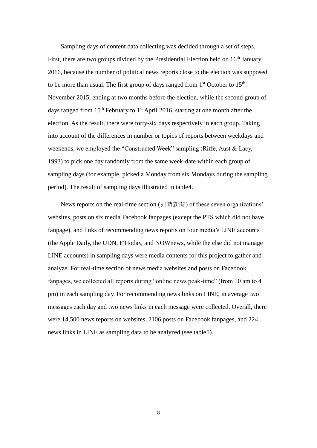Sampling days of content data collecting was decided through a set of steps. First, there are two groups divided by the Presidential Election held on  $16<sup>th</sup>$  January 2016, because the number of political news reports close to the election was supposed to be more than usual. The first group of days ranged from 1<sup>st</sup> October to 15<sup>th</sup> November 2015, ending at two months before the election, while the second group of days ranged from  $15<sup>th</sup>$  February to  $1<sup>st</sup>$  April 2016, starting at one month after the election. As the result, there were forty-six days respectively in each group. Taking into account of the differences in number or topics of reports between weekdays and weekends, we employed the "Constructed Week" sampling (Riffe, Aust & Lacy, 1993) to pick one day randomly from the same week-date within each group of sampling days (for example, picked a Monday from six Mondays during the sampling period). The result of sampling days illustrated in table4.

News reports on the real-time section (即時新聞) of these seven organizations' websites, posts on six media Facebook fanpages (except the PTS which did not have fanpage), and links of recommending news reports on four media's LINE accounts (the Apple Daily, the UDN, ETtoday, and NOWnews, while the else did not manage LINE accounts) in sampling days were media contents for this project to gather and analyze. For real-time section of news media websites and posts on Facebook fanpages, we collected all reports during "online news peak-time" (from 10 am to 4 pm) in each sampling day. For recommending news links on LINE, in average two messages each day and two news links in each message were collected. Overall, there were 14,500 news reports on websites, 2106 posts on Facebook fanpages, and 224 news links in LINE as sampling data to be analyzed (see table5).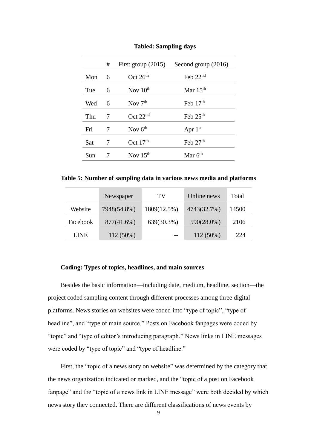| # | First group $(2015)$ | Second group $(2016)$ |
|---|----------------------|-----------------------|
| 6 | Oct $26th$           | Feb $22nd$            |
| 6 | Nov $10^{th}$        | Mar $15th$            |
| 6 | Nov $7th$            | Feb $17th$            |
| 7 | Oct 22 <sup>nd</sup> | Feb $25th$            |
| 7 | Nov $6th$            | Apr $1st$             |
| 7 | Oct $17th$           | Feb $27th$            |
|   | Nov $15th$           | Mar $6th$             |
|   |                      |                       |

**Table4: Sampling days**

**Table 5: Number of sampling data in various news media and platforms**

|             | Newspaper   | TV          | Online news | Total |
|-------------|-------------|-------------|-------------|-------|
| Website     | 7948(54.8%) | 1809(12.5%) | 4743(32.7%) | 14500 |
| Facebook    | 877(41.6%)  | 639(30.3%)  | 590(28.0%)  | 2106  |
| <b>LINE</b> | 112 (50%)   |             | $112(50\%)$ | 224   |

#### **Coding: Types of topics, headlines, and main sources**

Besides the basic information—including date, medium, headline, section—the project coded sampling content through different processes among three digital platforms. News stories on websites were coded into "type of topic", "type of headline", and "type of main source." Posts on Facebook fanpages were coded by "topic" and "type of editor's introducing paragraph." News links in LINE messages were coded by "type of topic" and "type of headline."

First, the "topic of a news story on website" was determined by the category that the news organization indicated or marked, and the "topic of a post on Facebook fanpage" and the "topic of a news link in LINE message" were both decided by which news story they connected. There are different classifications of news events by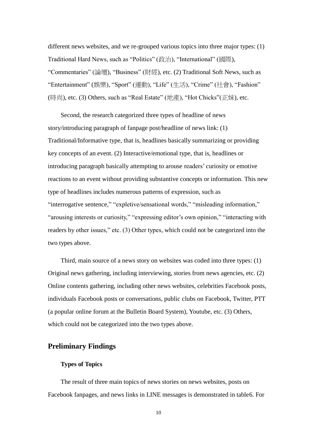different news websites, and we re-grouped various topics into three major types: (1) Traditional Hard News, such as "Politics" (政治), "International" (國際), "Commentaries" (論壇), "Business" (財經), etc. (2) Traditional Soft News, such as "Entertainment" (娛樂), "Sport" (運動), "Life" (生活), "Crime" (社會), "Fashion" (時尚), etc. (3) Others, such as "Real Estate" (地產), "Hot Chicks"(正妹), etc.

Second, the research categorized three types of headline of news story/introducing paragraph of fanpage post/headline of news link: (1) Traditional/Informative type, that is, headlines basically summarizing or providing key concepts of an event. (2) Interactive/emotional type, that is, headlines or introducing paragraph basically attempting to arouse readers' curiosity or emotive reactions to an event without providing substantive concepts or information. This new type of headlines includes numerous patterns of expression, such as "interrogative sentence," "expletive/sensational words," "misleading information," "arousing interests or curiosity," "expressing editor's own opinion," "interacting with readers by other issues," etc. (3) Other types, which could not be categorized into the two types above.

Third, main source of a news story on websites was coded into three types: (1) Original news gathering, including interviewing, stories from news agencies, etc. (2) Online contents gathering, including other news websites, celebrities Facebook posts, individuals Facebook posts or conversations, public clubs on Facebook, Twitter, PTT (a popular online forum at the Bulletin Board System), Youtube, etc. (3) Others, which could not be categorized into the two types above.

## **Preliminary Findings**

### **Types of Topics**

The result of three main topics of news stories on news websites, posts on Facebook fanpages, and news links in LINE messages is demonstrated in table6. For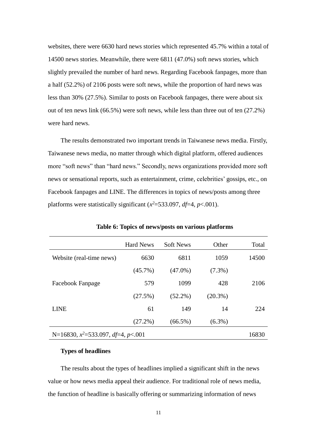websites, there were 6630 hard news stories which represented 45.7% within a total of 14500 news stories. Meanwhile, there were 6811 (47.0%) soft news stories, which slightly prevailed the number of hard news. Regarding Facebook fanpages, more than a half (52.2%) of 2106 posts were soft news, while the proportion of hard news was less than 30% (27.5%). Similar to posts on Facebook fanpages, there were about six out of ten news link (66.5%) were soft news, while less than three out of ten (27.2%) were hard news.

The results demonstrated two important trends in Taiwanese news media. Firstly, Taiwanese news media, no matter through which digital platform, offered audiences more "soft news" than "hard news." Secondly, news organizations provided more soft news or sensational reports, such as entertainment, crime, celebrities' gossips, etc., on Facebook fanpages and LINE. The differences in topics of news/posts among three platforms were statistically significant  $(x^2=533.097, df=4, p<.001)$ .

|                                       | <b>Hard News</b> | <b>Soft News</b> | Other      | Total |
|---------------------------------------|------------------|------------------|------------|-------|
| Website (real-time news)              | 6630             | 6811             | 1059       | 14500 |
|                                       | $(45.7\%)$       | $(47.0\%)$       | $(7.3\%)$  |       |
| Facebook Fanpage                      | 579              | 1099             | 428        | 2106  |
|                                       | (27.5%)          | $(52.2\%)$       | $(20.3\%)$ |       |
| LINE                                  | 61               | 149              | 14         | 224   |
|                                       | $(27.2\%)$       | $(66.5\%)$       | $(6.3\%)$  |       |
| N=16830, $x^2$ =533.097, df=4, p<.001 |                  |                  |            |       |

**Table 6: Topics of news/posts on various platforms**

#### **Types of headlines**

The results about the types of headlines implied a significant shift in the news value or how news media appeal their audience. For traditional role of news media, the function of headline is basically offering or summarizing information of news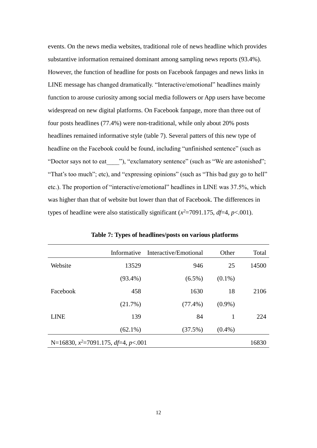events. On the news media websites, traditional role of news headline which provides substantive information remained dominant among sampling news reports (93.4%). However, the function of headline for posts on Facebook fanpages and news links in LINE message has changed dramatically. "Interactive/emotional" headlines mainly function to arouse curiosity among social media followers or App users have become widespread on new digital platforms. On Facebook fanpage, more than three out of four posts headlines (77.4%) were non-traditional, while only about 20% posts headlines remained informative style (table 7). Several patters of this new type of headline on the Facebook could be found, including "unfinished sentence" (such as "Doctor says not to eat \_\_\_\_"), "exclamatory sentence" (such as "We are astonished"; "That's too much"; etc), and "expressing opinions" (such as "This bad guy go to hell" etc.). The proportion of "interactive/emotional" headlines in LINE was 37.5%, which was higher than that of website but lower than that of Facebook. The differences in types of headline were also statistically significant  $(x^2=7091.175, df=4, p<.001)$ .

|                                        | Informative | Interactive/Emotional | Other     | Total |
|----------------------------------------|-------------|-----------------------|-----------|-------|
| Website                                | 13529       | 946                   | 25        | 14500 |
|                                        | $(93.4\%)$  | $(6.5\%)$             | $(0.1\%)$ |       |
| Facebook                               | 458         | 1630                  | 18        | 2106  |
|                                        | (21.7%)     | $(77.4\%)$            | $(0.9\%)$ |       |
| <b>LINE</b>                            | 139         | 84                    | 1         | 224   |
|                                        | $(62.1\%)$  | (37.5%)               | $(0.4\%)$ |       |
| N=16830, $x^2$ =7091.175, df=4, p<.001 |             |                       |           |       |

**Table 7: Types of headlines/posts on various platforms**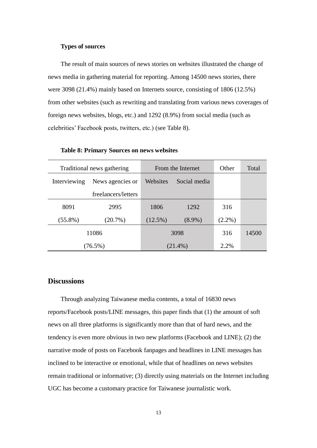#### **Types of sources**

The result of main sources of news stories on websites illustrated the change of news media in gathering material for reporting. Among 14500 news stories, there were 3098 (21.4%) mainly based on Internets source, consisting of 1806 (12.5%) from other websites (such as rewriting and translating from various news coverages of foreign news websites, blogs, etc.) and 1292 (8.9%) from social media (such as celebrities' Facebook posts, twitters, etc.) (see Table 8).

|              | Traditional news gathering | From the Internet |              | Other     | Total |
|--------------|----------------------------|-------------------|--------------|-----------|-------|
| Interviewing | News agencies or           |                   | Social media |           |       |
|              | freelancers/letters        |                   |              |           |       |
| 8091         | 2995                       | 1806              | 1292         | 316       |       |
| $(55.8\%)$   | $(20.7\%)$                 | $(12.5\%)$        | $(8.9\%)$    | $(2.2\%)$ |       |
|              | 11086                      | 3098              |              | 316       | 14500 |
|              | $(76.5\%)$                 |                   | $(21.4\%)$   | 2.2%      |       |

**Table 8: Primary Sources on news websites**

### **Discussions**

Through analyzing Taiwanese media contents, a total of 16830 news reports/Facebook posts/LINE messages, this paper finds that (1) the amount of soft news on all three platforms is significantly more than that of hard news, and the tendency is even more obvious in two new platforms (Facebook and LINE); (2) the narrative mode of posts on Facebook fanpages and headlines in LINE messages has inclined to be interactive or emotional, while that of headlines on news websites remain traditional or informative; (3) directly using materials on the Internet including UGC has become a customary practice for Taiwanese journalistic work.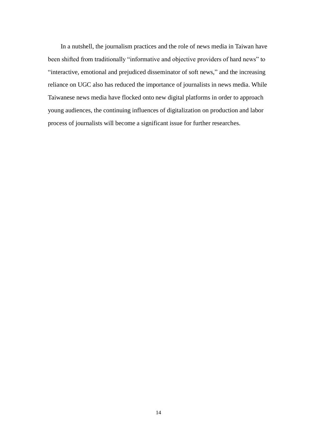In a nutshell, the journalism practices and the role of news media in Taiwan have been shifted from traditionally "informative and objective providers of hard news" to "interactive, emotional and prejudiced disseminator of soft news," and the increasing reliance on UGC also has reduced the importance of journalists in news media. While Taiwanese news media have flocked onto new digital platforms in order to approach young audiences, the continuing influences of digitalization on production and labor process of journalists will become a significant issue for further researches.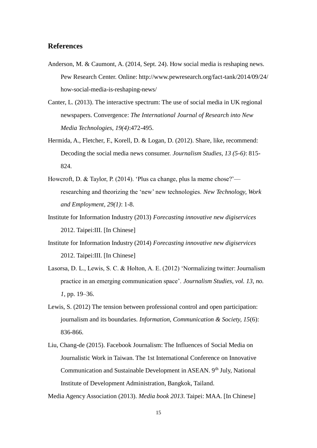## **References**

- Anderson, M. & Caumont, A. (2014, Sept. 24). How social media is reshaping news. Pew Research Center. Online: http://www.pewresearch.org/fact-tank/2014/09/24/ how-social-media-is-reshaping-news/
- Canter, L. (2013). The interactive spectrum: The use of social media in UK regional newspapers. Convergence: *The International Journal of Research into New Media Technologies, 19(4)*:472-495.
- Hermida, A., Fletcher, F., Korell, D. & Logan, D. (2012). Share, like, recommend: Decoding the social media news consumer. *Journalism Studies, 13 (5-6)*: 815- 824.
- Howcroft, D. & Taylor, P. (2014). 'Plus ca change, plus la meme chose?' researching and theorizing the 'new' new technologies. *New Technology, Work and Employment, 29(1)*: 1-8.
- Institute for Information Industry (2013) *Forecasting innovative new digiservices* 2012. Taipei:III. [In Chinese]
- Institute for Information Industry (2014) *Forecasting innovative new digiservices* 2012. Taipei:III. [In Chinese]
- Lasorsa, D. L., Lewis, S. C. & Holton, A. E. (2012) 'Normalizing twitter: Journalism practice in an emerging communication space'. *Journalism Studies, vol. 13, no. 1,* pp. 19–36.
- Lewis, S. (2012) The tension between professional control and open participation: journalism and its boundaries. *Information, Communication & Society, 15*(6): 836-866.
- Liu, Chang-de (2015). Facebook Journalism: The Influences of Social Media on Journalistic Work in Taiwan. The 1st International Conference on Innovative Communication and Sustainable Development in ASEAN. 9<sup>th</sup> July, National Institute of Development Administration, Bangkok, Tailand.

Media Agency Association (2013). *Media book 2013*. Taipei: MAA. [In Chinese]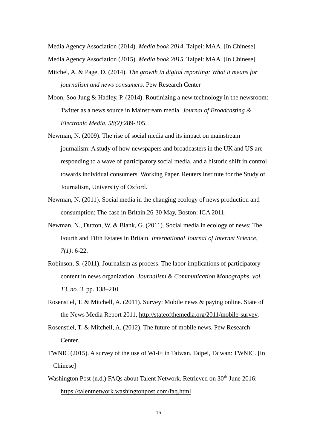Media Agency Association (2014). *Media book 2014*. Taipei: MAA. [In Chinese] Media Agency Association (2015). *Media book 2015*. Taipei: MAA. [In Chinese]

- Mitchel, A. & Page, D. (2014). *The growth in digital reporting: What it means for journalism and news consumers.* Pew Research Center
- Moon, Soo Jung & Hadley, P. (2014). Routinizing a new technology in the newsroom: Twitter as a news source in Mainstream media. *Journal of Broadcasting & Electronic Media, 58(2)*:289-305. .
- Newman, N. (2009). The rise of social media and its impact on mainstream journalism: A study of how newspapers and broadcasters in the UK and US are responding to a wave of participatory social media, and a historic shift in control towards individual consumers. Working Paper. Reuters Institute for the Study of Journalism, University of Oxford.
- Newman, N. (2011). Social media in the changing ecology of news production and consumption: The case in Britain.26-30 May, Boston: ICA 2011.
- Newman, N., Dutton, W. & Blank, G. (2011). Social media in ecology of news: The Fourth and Fifth Estates in Britain. *International Journal of Internet Science, 7(1)*: 6-22.
- Robinson, S. (2011). Journalism as process: The labor implications of participatory content in news organization. *Journalism & Communication Monographs, vol. 13, no. 3,* pp. 138–210.
- Rosenstiel, T. & Mitchell, A. (2011). Survey: Mobile news & paying online. State of the News Media Report 2011, [http://stateofthemedia.org/2011/mobile-survey.](http://stateofthemedia.org/2011/mobile-survey)
- Rosenstiel, T. & Mitchell, A. (2012). The future of mobile news. Pew Research Center.
- TWNIC (2015). A survey of the use of Wi-Fi in Taiwan. Taipei, Taiwan: TWNIC. [in Chinese]
- Washington Post (n.d.) FAQs about Talent Network. Retrieved on 30<sup>th</sup> June 2016: [https://talentnetwork.washingtonpost.com/faq.html.](https://talentnetwork.washingtonpost.com/faq.html)